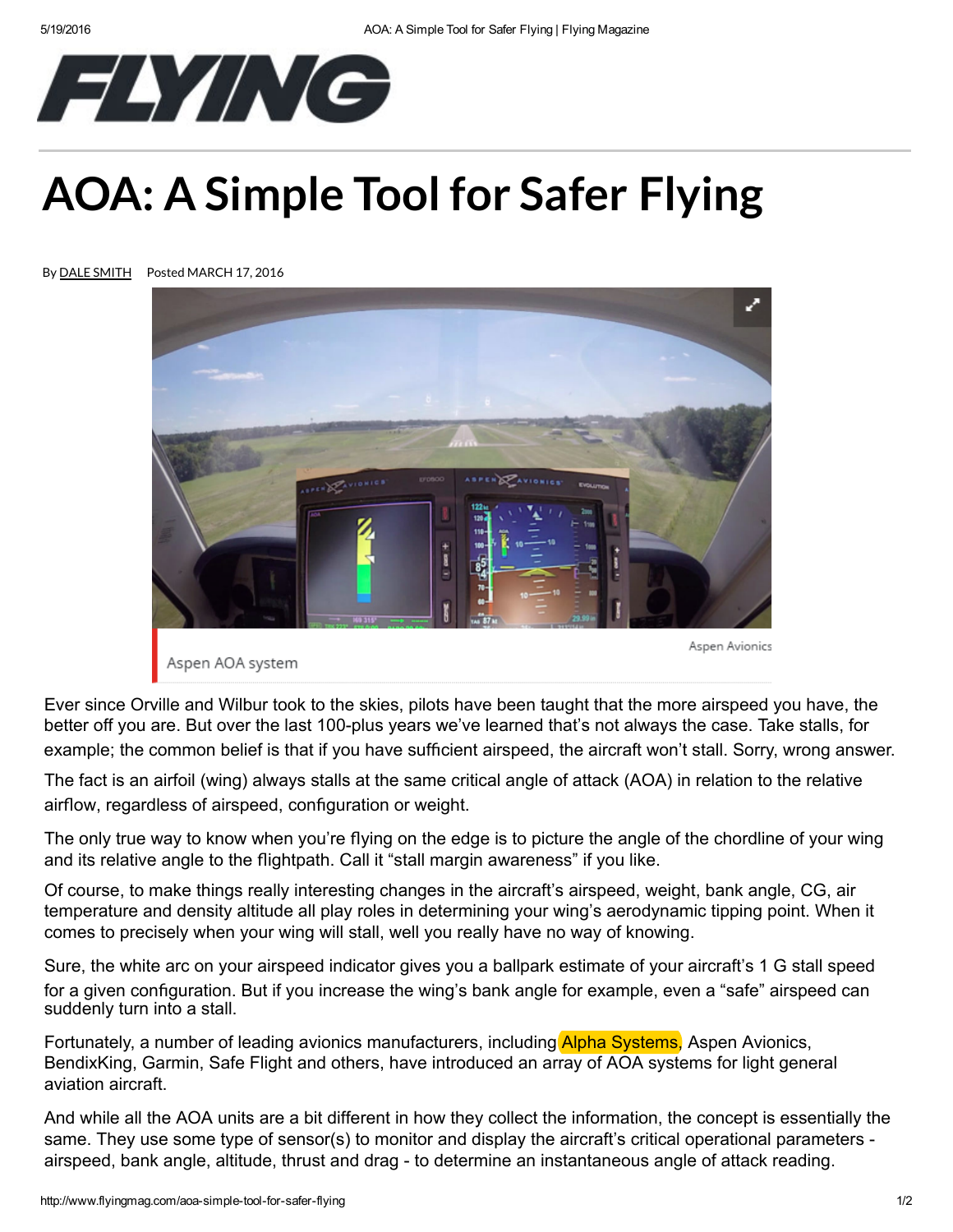

## AOA: [A Simple Tool for Safe](http://www.flyingmag.com/?dom=fly&loc=headerlogo)r Flying







Aspen AOA system

Aspen Avionics

Ever since Orville and Wilbur took to the skies, pilots have been taught that the more airspeed you have, the better off you are. But over the last 100-plus years we've learned that's not always the case. Take stalls, for example; the common belief is that if you have sufficient airspeed, the aircraft won't stall. Sorry, wrong answer.

The fact is an airfoil (wing) always stalls at the same critical angle of attack (AOA) in relation to the relative airflow, regardless of airspeed, configuration or weight.

The only true way to know when you're flying on the edge is to picture the angle of the chordline of your wing and its relative angle to the flightpath. Call it "stall margin awareness" if you like.

Of course, to make things really interesting changes in the aircraft's airspeed, weight, bank angle, CG, air temperature and density altitude all play roles in determining your wing's aerodynamic tipping point. When it comes to precisely when your wing will stall, well you really have no way of knowing.

Sure, the white arc on your airspeed indicator gives you a ballpark estimate of your aircraft's 1 G stall speed for a given configuration. But if you increase the wing's bank angle for example, even a "safe" airspeed can suddenly turn into a stall.

Fortunately, a number of leading avionics manufacturers, including Alpha Systems, Aspen Avionics, BendixKing, Garmin, Safe Flight and others, have introduced an array of AOA systems for light general aviation aircraft.

And while all the AOA units are a bit different in how they collect the information, the concept is essentially the same. They use some type of sensor(s) to monitor and display the aircraft's critical operational parameters airspeed, bank angle, altitude, thrust and drag - to determine an instantaneous angle of attack reading.